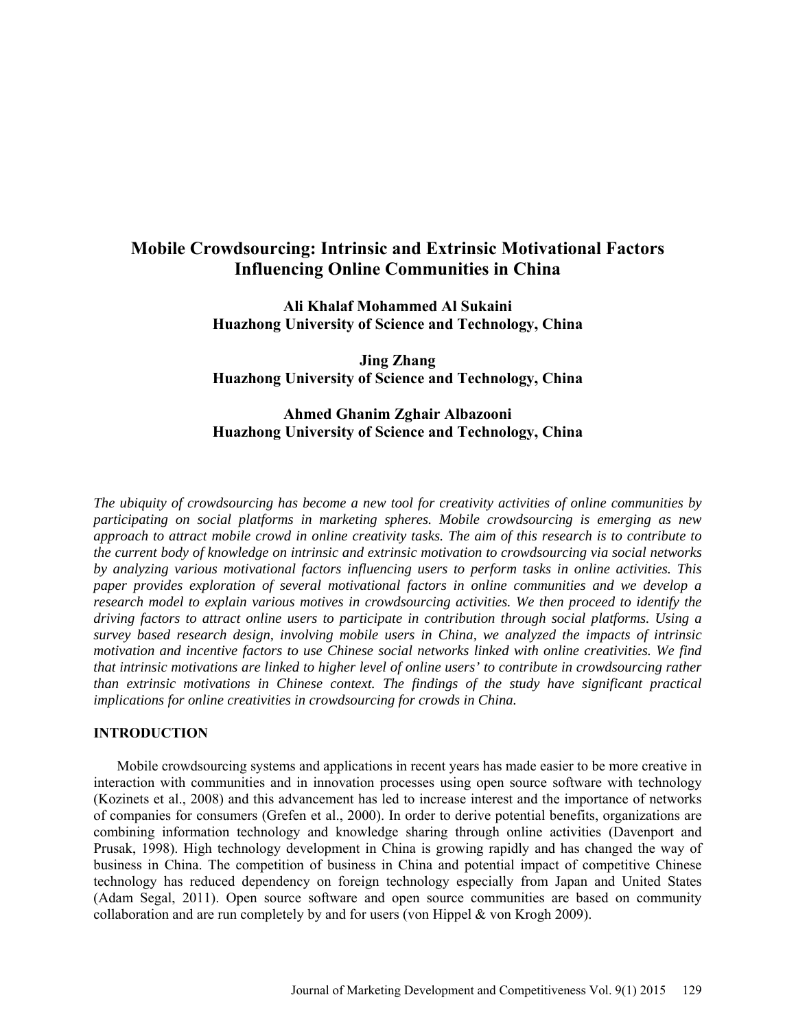# **Mobile Crowdsourcing: Intrinsic and Extrinsic Motivational Factors Influencing Online Communities in China**

**Ali Khalaf Mohammed Al Sukaini Huazhong University of Science and Technology, China** 

**Jing Zhang Huazhong University of Science and Technology, China** 

## **Ahmed Ghanim Zghair Albazooni Huazhong University of Science and Technology, China**

*The ubiquity of crowdsourcing has become a new tool for creativity activities of online communities by participating on social platforms in marketing spheres. Mobile crowdsourcing is emerging as new approach to attract mobile crowd in online creativity tasks. The aim of this research is to contribute to the current body of knowledge on intrinsic and extrinsic motivation to crowdsourcing via social networks by analyzing various motivational factors influencing users to perform tasks in online activities. This paper provides exploration of several motivational factors in online communities and we develop a research model to explain various motives in crowdsourcing activities. We then proceed to identify the driving factors to attract online users to participate in contribution through social platforms. Using a survey based research design, involving mobile users in China, we analyzed the impacts of intrinsic motivation and incentive factors to use Chinese social networks linked with online creativities. We find that intrinsic motivations are linked to higher level of online users' to contribute in crowdsourcing rather than extrinsic motivations in Chinese context. The findings of the study have significant practical implications for online creativities in crowdsourcing for crowds in China.* 

## **INTRODUCTION**

Mobile crowdsourcing systems and applications in recent years has made easier to be more creative in interaction with communities and in innovation processes using open source software with technology (Kozinets et al., 2008) and this advancement has led to increase interest and the importance of networks of companies for consumers (Grefen et al., 2000). In order to derive potential benefits, organizations are combining information technology and knowledge sharing through online activities (Davenport and Prusak, 1998). High technology development in China is growing rapidly and has changed the way of business in China. The competition of business in China and potential impact of competitive Chinese technology has reduced dependency on foreign technology especially from Japan and United States (Adam Segal, 2011). Open source software and open source communities are based on community collaboration and are run completely by and for users (von Hippel  $&$  von Krogh 2009).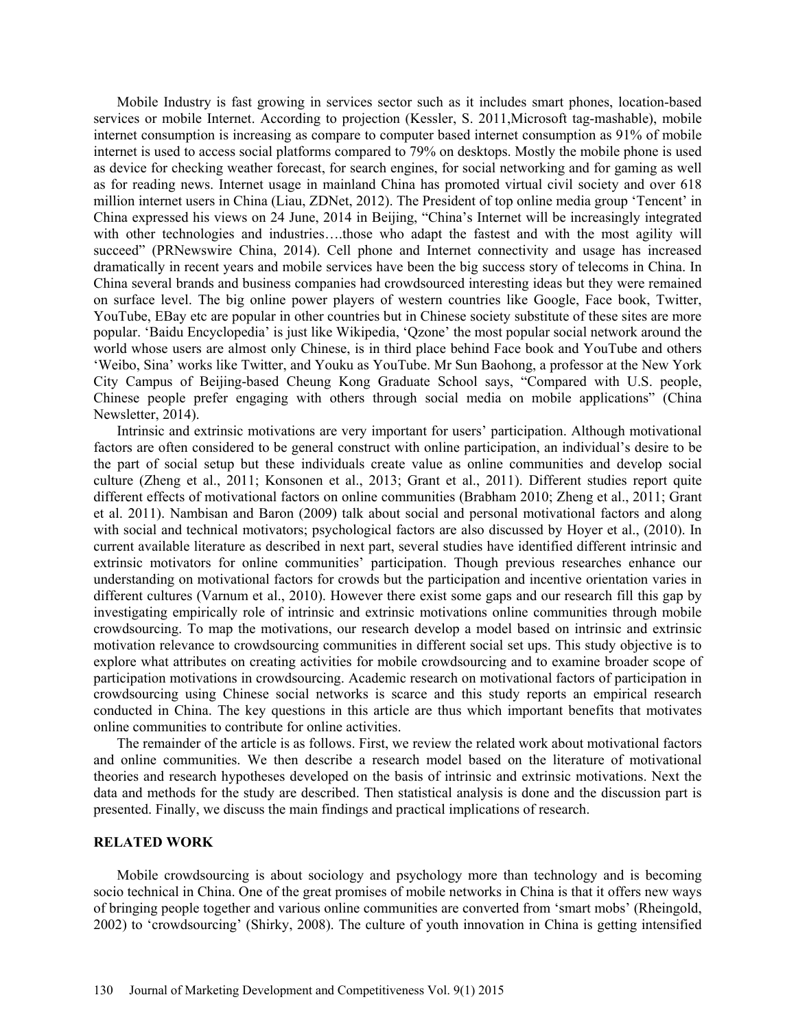Mobile Industry is fast growing in services sector such as it includes smart phones, location-based services or mobile Internet. According to projection (Kessler, S. 2011,Microsoft tag-mashable), mobile internet consumption is increasing as compare to computer based internet consumption as 91% of mobile internet is used to access social platforms compared to 79% on desktops. Mostly the mobile phone is used as device for checking weather forecast, for search engines, for social networking and for gaming as well as for reading news. Internet usage in mainland China has promoted virtual civil society and over 618 million internet users in China (Liau, ZDNet, 2012). The President of top online media group 'Tencent' in China expressed his views on 24 June, 2014 in Beijing, "China's Internet will be increasingly integrated with other technologies and industries….those who adapt the fastest and with the most agility will succeed" (PRNewswire China, 2014). Cell phone and Internet connectivity and usage has increased dramatically in recent years and mobile services have been the big success story of telecoms in China. In China several brands and business companies had crowdsourced interesting ideas but they were remained on surface level. The big online power players of western countries like Google, Face book, Twitter, YouTube, EBay etc are popular in other countries but in Chinese society substitute of these sites are more popular. 'Baidu Encyclopedia' is just like Wikipedia, 'Qzone' the most popular social network around the world whose users are almost only Chinese, is in third place behind Face book and YouTube and others 'Weibo, Sina' works like Twitter, and Youku as YouTube. Mr Sun Baohong, a professor at the New York City Campus of Beijing-based Cheung Kong Graduate School says, "Compared with U.S. people, Chinese people prefer engaging with others through social media on mobile applications" (China Newsletter, 2014).

Intrinsic and extrinsic motivations are very important for users' participation. Although motivational factors are often considered to be general construct with online participation, an individual's desire to be the part of social setup but these individuals create value as online communities and develop social culture (Zheng et al., 2011; Konsonen et al., 2013; Grant et al., 2011). Different studies report quite different effects of motivational factors on online communities (Brabham 2010; Zheng et al., 2011; Grant et al. 2011). Nambisan and Baron (2009) talk about social and personal motivational factors and along with social and technical motivators; psychological factors are also discussed by Hoyer et al., (2010). In current available literature as described in next part, several studies have identified different intrinsic and extrinsic motivators for online communities' participation. Though previous researches enhance our understanding on motivational factors for crowds but the participation and incentive orientation varies in different cultures (Varnum et al., 2010). However there exist some gaps and our research fill this gap by investigating empirically role of intrinsic and extrinsic motivations online communities through mobile crowdsourcing. To map the motivations, our research develop a model based on intrinsic and extrinsic motivation relevance to crowdsourcing communities in different social set ups. This study objective is to explore what attributes on creating activities for mobile crowdsourcing and to examine broader scope of participation motivations in crowdsourcing. Academic research on motivational factors of participation in crowdsourcing using Chinese social networks is scarce and this study reports an empirical research conducted in China. The key questions in this article are thus which important benefits that motivates online communities to contribute for online activities.

The remainder of the article is as follows. First, we review the related work about motivational factors and online communities. We then describe a research model based on the literature of motivational theories and research hypotheses developed on the basis of intrinsic and extrinsic motivations. Next the data and methods for the study are described. Then statistical analysis is done and the discussion part is presented. Finally, we discuss the main findings and practical implications of research.

#### **RELATED WORK**

Mobile crowdsourcing is about sociology and psychology more than technology and is becoming socio technical in China. One of the great promises of mobile networks in China is that it offers new ways of bringing people together and various online communities are converted from 'smart mobs' (Rheingold, 2002) to 'crowdsourcing' (Shirky, 2008). The culture of youth innovation in China is getting intensified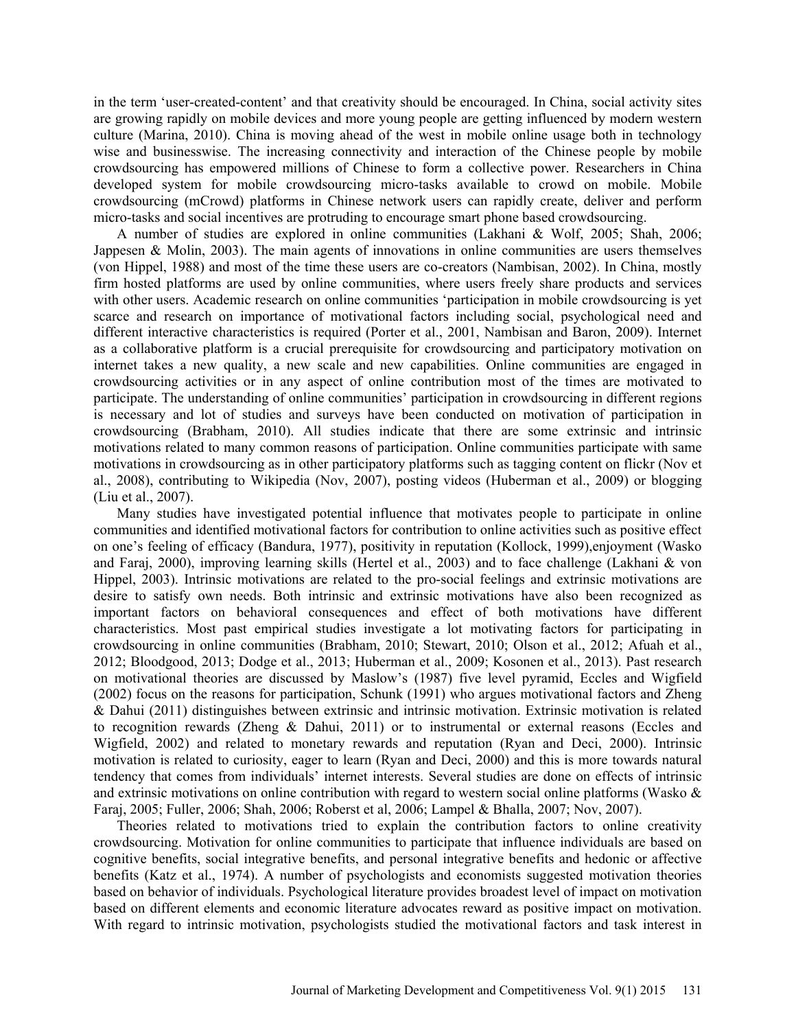in the term 'user-created-content' and that creativity should be encouraged. In China, social activity sites are growing rapidly on mobile devices and more young people are getting influenced by modern western culture (Marina, 2010). China is moving ahead of the west in mobile online usage both in technology wise and businesswise. The increasing connectivity and interaction of the Chinese people by mobile crowdsourcing has empowered millions of Chinese to form a collective power. Researchers in China developed system for mobile crowdsourcing micro-tasks available to crowd on mobile. Mobile crowdsourcing (mCrowd) platforms in Chinese network users can rapidly create, deliver and perform micro-tasks and social incentives are protruding to encourage smart phone based crowdsourcing.

A number of studies are explored in online communities (Lakhani & Wolf, 2005; Shah, 2006; Jappesen & Molin, 2003). The main agents of innovations in online communities are users themselves (von Hippel, 1988) and most of the time these users are co-creators (Nambisan, 2002). In China, mostly firm hosted platforms are used by online communities, where users freely share products and services with other users. Academic research on online communities 'participation in mobile crowdsourcing is yet scarce and research on importance of motivational factors including social, psychological need and different interactive characteristics is required (Porter et al., 2001, Nambisan and Baron, 2009). Internet as a collaborative platform is a crucial prerequisite for crowdsourcing and participatory motivation on internet takes a new quality, a new scale and new capabilities. Online communities are engaged in crowdsourcing activities or in any aspect of online contribution most of the times are motivated to participate. The understanding of online communities' participation in crowdsourcing in different regions is necessary and lot of studies and surveys have been conducted on motivation of participation in crowdsourcing (Brabham, 2010). All studies indicate that there are some extrinsic and intrinsic motivations related to many common reasons of participation. Online communities participate with same motivations in crowdsourcing as in other participatory platforms such as tagging content on flickr (Nov et al., 2008), contributing to Wikipedia (Nov, 2007), posting videos (Huberman et al., 2009) or blogging (Liu et al., 2007).

Many studies have investigated potential influence that motivates people to participate in online communities and identified motivational factors for contribution to online activities such as positive effect on one's feeling of efficacy (Bandura, 1977), positivity in reputation (Kollock, 1999),enjoyment (Wasko and Faraj, 2000), improving learning skills (Hertel et al., 2003) and to face challenge (Lakhani & von Hippel, 2003). Intrinsic motivations are related to the pro-social feelings and extrinsic motivations are desire to satisfy own needs. Both intrinsic and extrinsic motivations have also been recognized as important factors on behavioral consequences and effect of both motivations have different characteristics. Most past empirical studies investigate a lot motivating factors for participating in crowdsourcing in online communities (Brabham, 2010; Stewart, 2010; Olson et al., 2012; Afuah et al., 2012; Bloodgood, 2013; Dodge et al., 2013; Huberman et al., 2009; Kosonen et al., 2013). Past research on motivational theories are discussed by Maslow's (1987) five level pyramid, Eccles and Wigfield (2002) focus on the reasons for participation, Schunk (1991) who argues motivational factors and Zheng & Dahui (2011) distinguishes between extrinsic and intrinsic motivation. Extrinsic motivation is related to recognition rewards (Zheng & Dahui, 2011) or to instrumental or external reasons (Eccles and Wigfield, 2002) and related to monetary rewards and reputation (Ryan and Deci, 2000). Intrinsic motivation is related to curiosity, eager to learn (Ryan and Deci, 2000) and this is more towards natural tendency that comes from individuals' internet interests. Several studies are done on effects of intrinsic and extrinsic motivations on online contribution with regard to western social online platforms (Wasko & Faraj, 2005; Fuller, 2006; Shah, 2006; Roberst et al, 2006; Lampel & Bhalla, 2007; Nov, 2007).

Theories related to motivations tried to explain the contribution factors to online creativity crowdsourcing. Motivation for online communities to participate that influence individuals are based on cognitive benefits, social integrative benefits, and personal integrative benefits and hedonic or affective benefits (Katz et al., 1974). A number of psychologists and economists suggested motivation theories based on behavior of individuals. Psychological literature provides broadest level of impact on motivation based on different elements and economic literature advocates reward as positive impact on motivation. With regard to intrinsic motivation, psychologists studied the motivational factors and task interest in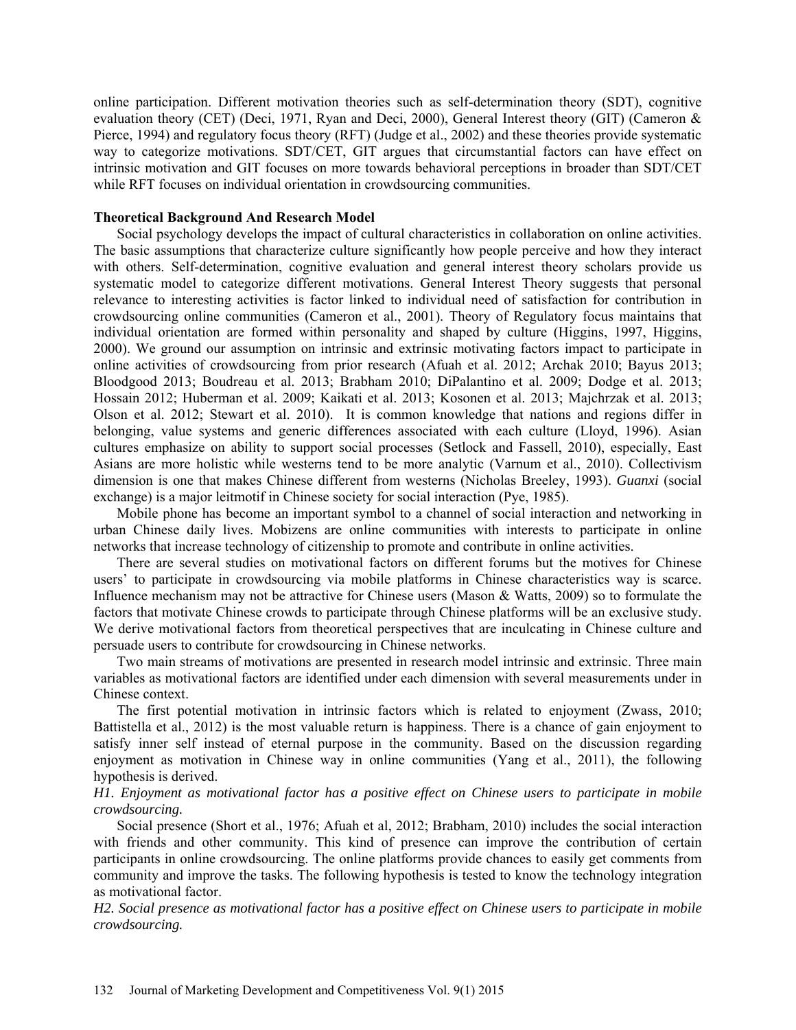online participation. Different motivation theories such as self-determination theory (SDT), cognitive evaluation theory (CET) (Deci, 1971, Ryan and Deci, 2000), General Interest theory (GIT) (Cameron & Pierce, 1994) and regulatory focus theory (RFT) (Judge et al., 2002) and these theories provide systematic way to categorize motivations. SDT/CET, GIT argues that circumstantial factors can have effect on intrinsic motivation and GIT focuses on more towards behavioral perceptions in broader than SDT/CET while RFT focuses on individual orientation in crowdsourcing communities.

#### **Theoretical Background And Research Model**

Social psychology develops the impact of cultural characteristics in collaboration on online activities. The basic assumptions that characterize culture significantly how people perceive and how they interact with others. Self-determination, cognitive evaluation and general interest theory scholars provide us systematic model to categorize different motivations. General Interest Theory suggests that personal relevance to interesting activities is factor linked to individual need of satisfaction for contribution in crowdsourcing online communities (Cameron et al., 2001). Theory of Regulatory focus maintains that individual orientation are formed within personality and shaped by culture (Higgins, 1997, Higgins, 2000). We ground our assumption on intrinsic and extrinsic motivating factors impact to participate in online activities of crowdsourcing from prior research (Afuah et al. 2012; Archak 2010; Bayus 2013; Bloodgood 2013; Boudreau et al. 2013; Brabham 2010; DiPalantino et al. 2009; Dodge et al. 2013; Hossain 2012; Huberman et al. 2009; Kaikati et al. 2013; Kosonen et al. 2013; Majchrzak et al. 2013; Olson et al. 2012; Stewart et al. 2010). It is common knowledge that nations and regions differ in belonging, value systems and generic differences associated with each culture (Lloyd, 1996). Asian cultures emphasize on ability to support social processes (Setlock and Fassell, 2010), especially, East Asians are more holistic while westerns tend to be more analytic (Varnum et al., 2010). Collectivism dimension is one that makes Chinese different from westerns (Nicholas Breeley, 1993). *Guanxi* (social exchange) is a major leitmotif in Chinese society for social interaction (Pye, 1985).

Mobile phone has become an important symbol to a channel of social interaction and networking in urban Chinese daily lives. Mobizens are online communities with interests to participate in online networks that increase technology of citizenship to promote and contribute in online activities.

There are several studies on motivational factors on different forums but the motives for Chinese users' to participate in crowdsourcing via mobile platforms in Chinese characteristics way is scarce. Influence mechanism may not be attractive for Chinese users (Mason & Watts, 2009) so to formulate the factors that motivate Chinese crowds to participate through Chinese platforms will be an exclusive study. We derive motivational factors from theoretical perspectives that are inculcating in Chinese culture and persuade users to contribute for crowdsourcing in Chinese networks.

Two main streams of motivations are presented in research model intrinsic and extrinsic. Three main variables as motivational factors are identified under each dimension with several measurements under in Chinese context.

The first potential motivation in intrinsic factors which is related to enjoyment (Zwass, 2010; Battistella et al., 2012) is the most valuable return is happiness. There is a chance of gain enjoyment to satisfy inner self instead of eternal purpose in the community. Based on the discussion regarding enjoyment as motivation in Chinese way in online communities (Yang et al., 2011), the following hypothesis is derived.

*H1. Enjoyment as motivational factor has a positive effect on Chinese users to participate in mobile crowdsourcing.* 

Social presence (Short et al., 1976; Afuah et al, 2012; Brabham, 2010) includes the social interaction with friends and other community. This kind of presence can improve the contribution of certain participants in online crowdsourcing. The online platforms provide chances to easily get comments from community and improve the tasks. The following hypothesis is tested to know the technology integration as motivational factor.

*H2. Social presence as motivational factor has a positive effect on Chinese users to participate in mobile crowdsourcing.*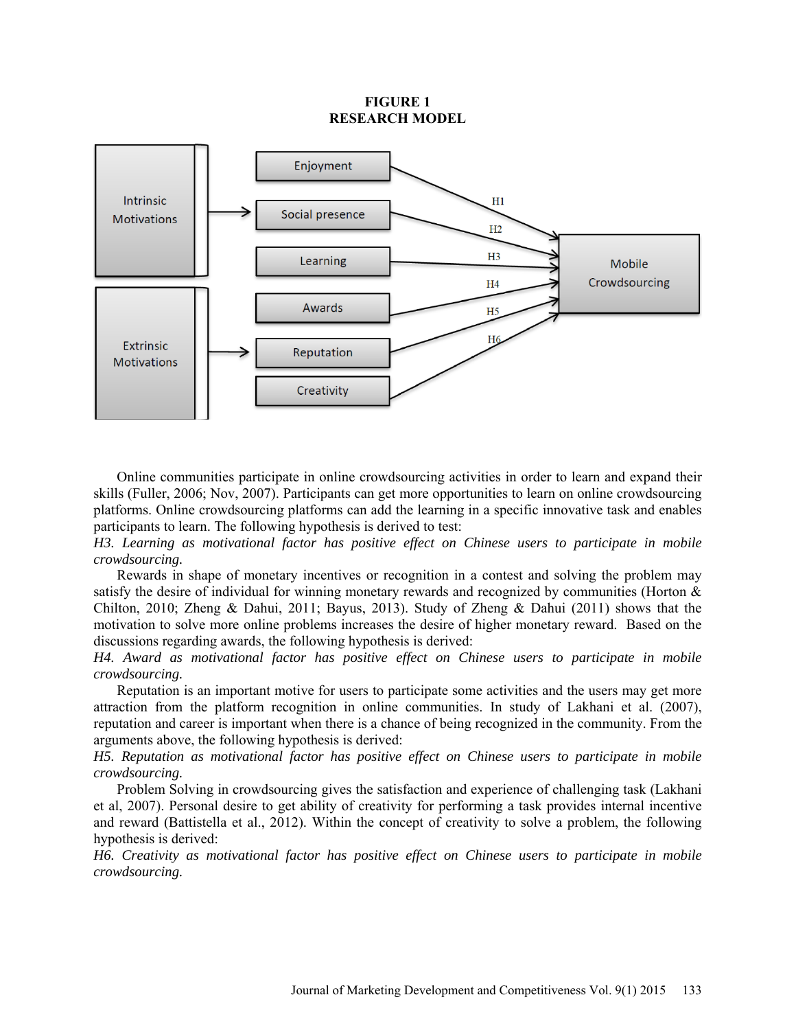### **FIGURE 1 RESEARCH MODEL**



Online communities participate in online crowdsourcing activities in order to learn and expand their skills (Fuller, 2006; Nov, 2007). Participants can get more opportunities to learn on online crowdsourcing platforms. Online crowdsourcing platforms can add the learning in a specific innovative task and enables participants to learn. The following hypothesis is derived to test:

*H3. Learning as motivational factor has positive effect on Chinese users to participate in mobile crowdsourcing.* 

Rewards in shape of monetary incentives or recognition in a contest and solving the problem may satisfy the desire of individual for winning monetary rewards and recognized by communities (Horton & Chilton, 2010; Zheng & Dahui, 2011; Bayus, 2013). Study of Zheng & Dahui (2011) shows that the motivation to solve more online problems increases the desire of higher monetary reward. Based on the discussions regarding awards, the following hypothesis is derived:

*H4. Award as motivational factor has positive effect on Chinese users to participate in mobile crowdsourcing.* 

Reputation is an important motive for users to participate some activities and the users may get more attraction from the platform recognition in online communities. In study of Lakhani et al. (2007), reputation and career is important when there is a chance of being recognized in the community. From the arguments above, the following hypothesis is derived:

*H5. Reputation as motivational factor has positive effect on Chinese users to participate in mobile crowdsourcing.* 

Problem Solving in crowdsourcing gives the satisfaction and experience of challenging task (Lakhani et al, 2007). Personal desire to get ability of creativity for performing a task provides internal incentive and reward (Battistella et al., 2012). Within the concept of creativity to solve a problem, the following hypothesis is derived:

*H6. Creativity as motivational factor has positive effect on Chinese users to participate in mobile crowdsourcing.*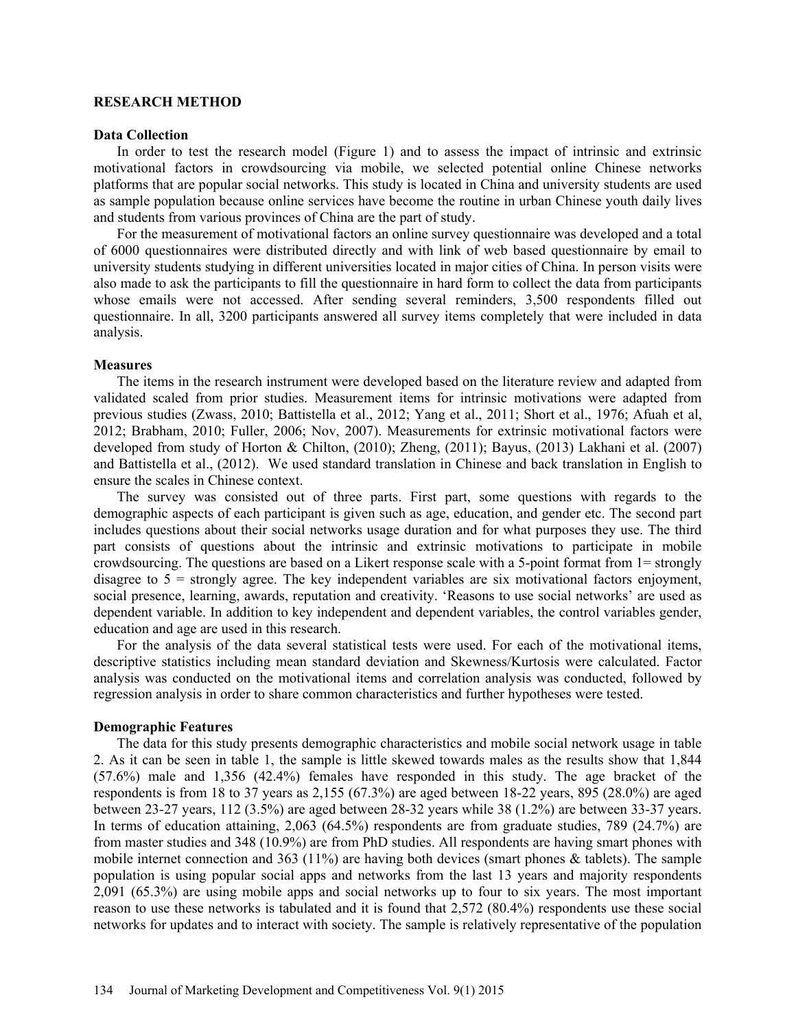#### **RESEARCH METHOD**

#### **Data Collection**

In order to test the research model (Figure 1) and to assess the impact of intrinsic and extrinsic motivational factors in crowdsourcing via mobile, we selected potential online Chinese networks platforms that are popular social networks. This study is located in China and university students are used as sample population because online services have become the routine in urban Chinese youth daily lives and students from various provinces of China are the part of study.

For the measurement of motivational factors an online survey questionnaire was developed and a total of 6000 questionnaires were distributed directly and with link of web based questionnaire by email to university students studying in different universities located in major cities of China. In person visits were also made to ask the participants to fill the questionnaire in hard form to collect the data from participants whose emails were not accessed. After sending several reminders, 3,500 respondents filled out questionnaire. In all, 3200 participants answered all survey items completely that were included in data analysis.

#### **Measures**

The items in the research instrument were developed based on the literature review and adapted from validated scaled from prior studies. Measurement items for intrinsic motivations were adapted from previous studies (Zwass, 2010; Battistella et al., 2012; Yang et al., 2011; Short et al., 1976; Afuah et al, 2012; Brabham, 2010; Fuller, 2006; Nov, 2007). Measurements for extrinsic motivational factors were developed from study of Horton & Chilton, (2010); Zheng, (2011); Bayus, (2013) Lakhani et al. (2007) and Battistella et al., (2012). We used standard translation in Chinese and back translation in English to ensure the scales in Chinese context.

The survey was consisted out of three parts. First part, some questions with regards to the demographic aspects of each participant is given such as age, education, and gender etc. The second part includes questions about their social networks usage duration and for what purposes they use. The third part consists of questions about the intrinsic and extrinsic motivations to participate in mobile crowdsourcing. The questions are based on a Likert response scale with a 5-point format from 1= strongly disagree to  $5 =$  strongly agree. The key independent variables are six motivational factors enjoyment, social presence, learning, awards, reputation and creativity. 'Reasons to use social networks' are used as dependent variable. In addition to key independent and dependent variables, the control variables gender, education and age are used in this research.

For the analysis of the data several statistical tests were used. For each of the motivational items, descriptive statistics including mean standard deviation and Skewness/Kurtosis were calculated. Factor analysis was conducted on the motivational items and correlation analysis was conducted, followed by regression analysis in order to share common characteristics and further hypotheses were tested.

#### **Demographic Features**

The data for this study presents demographic characteristics and mobile social network usage in table 2. As it can be seen in table 1, the sample is little skewed towards males as the results show that 1,844 (57.6%) male and 1,356 (42.4%) females have responded in this study. The age bracket of the respondents is from 18 to 37 years as 2,155 (67.3%) are aged between 18-22 years, 895 (28.0%) are aged between 23-27 years, 112 (3.5%) are aged between 28-32 years while 38 (1.2%) are between 33-37 years. In terms of education attaining, 2,063 (64.5%) respondents are from graduate studies, 789 (24.7%) are from master studies and 348 (10.9%) are from PhD studies. All respondents are having smart phones with mobile internet connection and 363 (11%) are having both devices (smart phones & tablets). The sample population is using popular social apps and networks from the last 13 years and majority respondents 2,091 (65.3%) are using mobile apps and social networks up to four to six years. The most important reason to use these networks is tabulated and it is found that 2,572 (80.4%) respondents use these social networks for updates and to interact with society. The sample is relatively representative of the population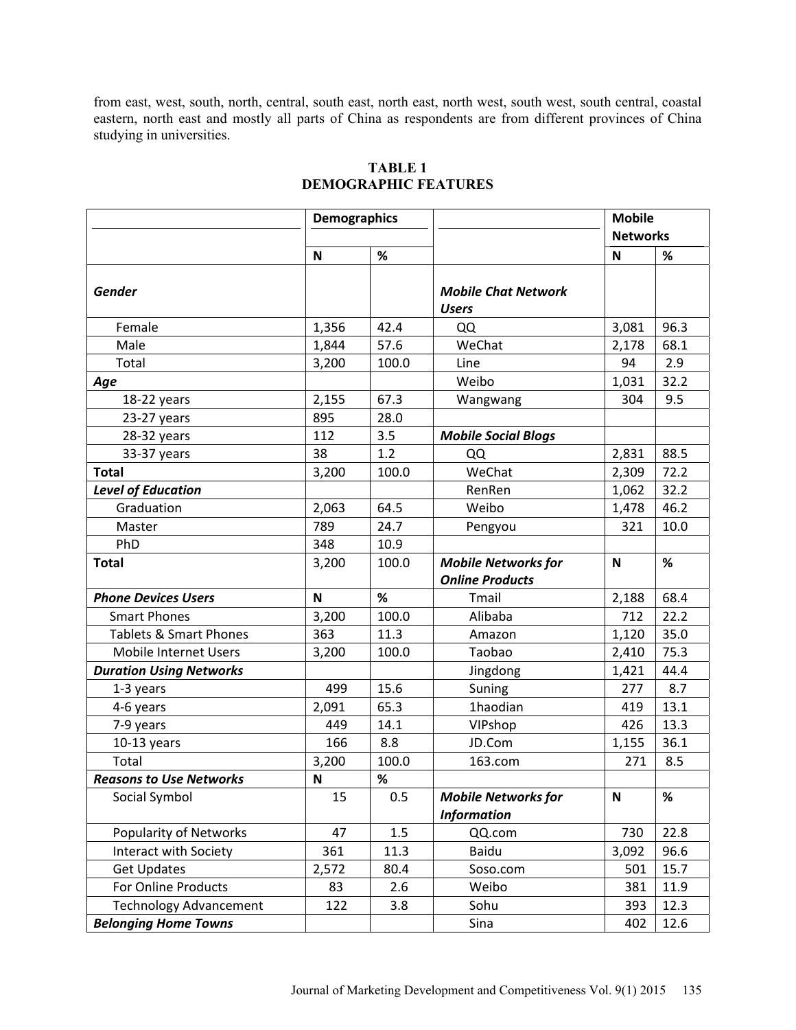from east, west, south, north, central, south east, north east, north west, south west, south central, coastal eastern, north east and mostly all parts of China as respondents are from different provinces of China studying in universities.

|                                | <b>Demographics</b> |       |                                                  | <b>Mobile</b><br><b>Networks</b> |      |
|--------------------------------|---------------------|-------|--------------------------------------------------|----------------------------------|------|
|                                | N                   | $\%$  |                                                  | $\mathbf N$                      | %    |
| <b>Gender</b>                  |                     |       | <b>Mobile Chat Network</b><br><b>Users</b>       |                                  |      |
| Female                         | 1,356               | 42.4  | QQ                                               | 3,081                            | 96.3 |
| Male                           | 1,844               | 57.6  | WeChat                                           | 2,178                            | 68.1 |
| Total                          | 3,200               | 100.0 | Line                                             | 94                               | 2.9  |
| Age                            |                     |       | Weibo                                            | 1,031                            | 32.2 |
| 18-22 years                    | 2,155               | 67.3  | Wangwang                                         | 304                              | 9.5  |
| 23-27 years                    | 895                 | 28.0  |                                                  |                                  |      |
| 28-32 years                    | 112                 | 3.5   | <b>Mobile Social Blogs</b>                       |                                  |      |
| 33-37 years                    | 38                  | 1.2   | QQ                                               | 2,831                            | 88.5 |
| <b>Total</b>                   | 3,200               | 100.0 | WeChat                                           | 2,309                            | 72.2 |
| <b>Level of Education</b>      |                     |       | RenRen                                           | 1,062                            | 32.2 |
| Graduation                     | 2,063               | 64.5  | Weibo                                            | 1,478                            | 46.2 |
| Master                         | 789                 | 24.7  | Pengyou                                          | 321                              | 10.0 |
| PhD                            | 348                 | 10.9  |                                                  |                                  |      |
| <b>Total</b>                   | 3,200               | 100.0 | <b>Mobile Networks for</b>                       | N                                | %    |
|                                |                     |       | <b>Online Products</b>                           |                                  |      |
| <b>Phone Devices Users</b>     | N                   | %     | Tmail                                            | 2,188                            | 68.4 |
| <b>Smart Phones</b>            | 3,200               | 100.0 | Alibaba                                          | 712                              | 22.2 |
| Tablets & Smart Phones         | 363                 | 11.3  | Amazon                                           | 1,120                            | 35.0 |
| Mobile Internet Users          | 3,200               | 100.0 | Taobao                                           | 2,410                            | 75.3 |
| <b>Duration Using Networks</b> |                     |       | Jingdong                                         | 1,421                            | 44.4 |
| 1-3 years                      | 499                 | 15.6  | Suning                                           | 277                              | 8.7  |
| 4-6 years                      | 2,091               | 65.3  | 1haodian                                         | 419                              | 13.1 |
| 7-9 years                      | 449                 | 14.1  | VIPshop                                          | 426                              | 13.3 |
| $10-13$ years                  | 166                 | 8.8   | JD.Com                                           | 1,155                            | 36.1 |
| Total                          | 3,200               | 100.0 | 163.com                                          | 271                              | 8.5  |
| <b>Reasons to Use Networks</b> | $\mathbf N$         | $\%$  |                                                  |                                  |      |
| Social Symbol                  | 15                  | 0.5   | <b>Mobile Networks for</b><br><b>Information</b> | N                                | $\%$ |
| Popularity of Networks         | 47                  | 1.5   | QQ.com                                           | 730                              | 22.8 |
| <b>Interact with Society</b>   | 361                 | 11.3  | Baidu                                            | 3,092                            | 96.6 |
| <b>Get Updates</b>             | 2,572               | 80.4  | Soso.com                                         | 501                              | 15.7 |
| For Online Products            | 83                  | 2.6   | Weibo                                            | 381                              | 11.9 |
| <b>Technology Advancement</b>  | 122                 | 3.8   | Sohu                                             | 393                              | 12.3 |
| <b>Belonging Home Towns</b>    |                     |       | Sina                                             | 402                              | 12.6 |

## **TABLE 1 DEMOGRAPHIC FEATURES**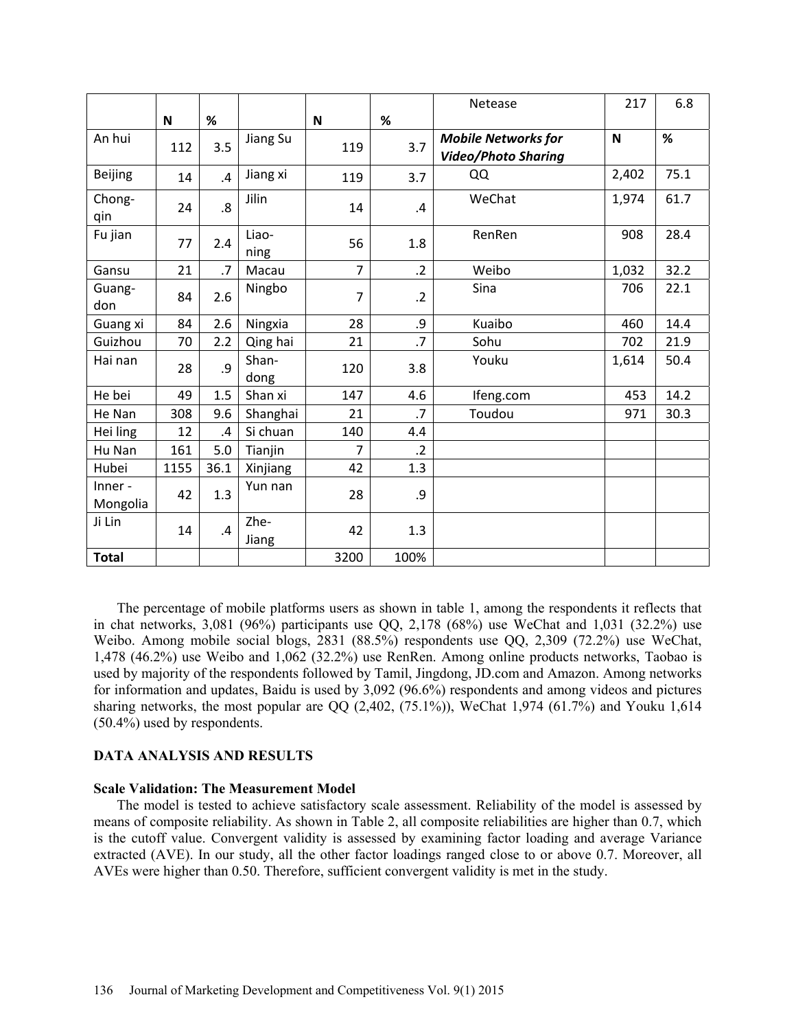|                     |      |                         |               |                |                 | Netease                                                  | 217         | 6.8  |
|---------------------|------|-------------------------|---------------|----------------|-----------------|----------------------------------------------------------|-------------|------|
|                     | N    | $\%$                    |               | N              | %               |                                                          |             |      |
| An hui              | 112  | 3.5                     | Jiang Su      | 119            | 3.7             | <b>Mobile Networks for</b><br><b>Video/Photo Sharing</b> | $\mathbf N$ | $\%$ |
| <b>Beijing</b>      | 14   | $\overline{A}$          | Jiang xi      | 119            | 3.7             | QQ                                                       | 2,402       | 75.1 |
| Chong-<br>qin       | 24   | $\overline{\mathbf{8}}$ | Jilin         | 14             | $\mathcal{A}$   | WeChat                                                   | 1,974       | 61.7 |
| Fu jian             | 77   | 2.4                     | Liao-<br>ning | 56             | 1.8             | RenRen                                                   | 908         | 28.4 |
| Gansu               | 21   | .7                      | Macau         | $\overline{7}$ | $\cdot$ .2      | Weibo                                                    | 1,032       | 32.2 |
| Guang-<br>don       | 84   | 2.6                     | Ningbo        | $\overline{7}$ | $\cdot$ .2      | Sina                                                     | 706         | 22.1 |
| Guang xi            | 84   | 2.6                     | Ningxia       | 28             | .9              | Kuaibo                                                   | 460         | 14.4 |
| Guizhou             | 70   | 2.2                     | Qing hai      | 21             | $\cdot$         | Sohu                                                     | 702         | 21.9 |
| Hai nan             | 28   | .9                      | Shan-<br>dong | 120            | 3.8             | Youku                                                    | 1,614       | 50.4 |
| He bei              | 49   | 1.5                     | Shan xi       | 147            | 4.6             | Ifeng.com                                                | 453         | 14.2 |
| He Nan              | 308  | 9.6                     | Shanghai      | 21             | $\overline{.7}$ | Toudou                                                   | 971         | 30.3 |
| Hei ling            | 12   | .4                      | Si chuan      | 140            | 4.4             |                                                          |             |      |
| Hu Nan              | 161  | 5.0                     | Tianjin       | 7              | $\cdot$ .2      |                                                          |             |      |
| Hubei               | 1155 | 36.1                    | Xinjiang      | 42             | 1.3             |                                                          |             |      |
| Inner -<br>Mongolia | 42   | 1.3                     | Yun nan       | 28             | .9              |                                                          |             |      |
| Ji Lin              | 14   | .4                      | Zhe-<br>Jiang | 42             | 1.3             |                                                          |             |      |
| <b>Total</b>        |      |                         |               | 3200           | 100%            |                                                          |             |      |

The percentage of mobile platforms users as shown in table 1, among the respondents it reflects that in chat networks, 3,081 (96%) participants use QQ, 2,178 (68%) use WeChat and 1,031 (32.2%) use Weibo. Among mobile social blogs, 2831 (88.5%) respondents use QQ, 2,309 (72.2%) use WeChat, 1,478 (46.2%) use Weibo and 1,062 (32.2%) use RenRen. Among online products networks, Taobao is used by majority of the respondents followed by Tamil, Jingdong, JD.com and Amazon. Among networks for information and updates, Baidu is used by 3,092 (96.6%) respondents and among videos and pictures sharing networks, the most popular are QQ (2,402, (75.1%)), WeChat 1,974 (61.7%) and Youku 1,614 (50.4%) used by respondents.

### **DATA ANALYSIS AND RESULTS**

### **Scale Validation: The Measurement Model**

The model is tested to achieve satisfactory scale assessment. Reliability of the model is assessed by means of composite reliability. As shown in Table 2, all composite reliabilities are higher than 0.7, which is the cutoff value. Convergent validity is assessed by examining factor loading and average Variance extracted (AVE). In our study, all the other factor loadings ranged close to or above 0.7. Moreover, all AVEs were higher than 0.50. Therefore, sufficient convergent validity is met in the study.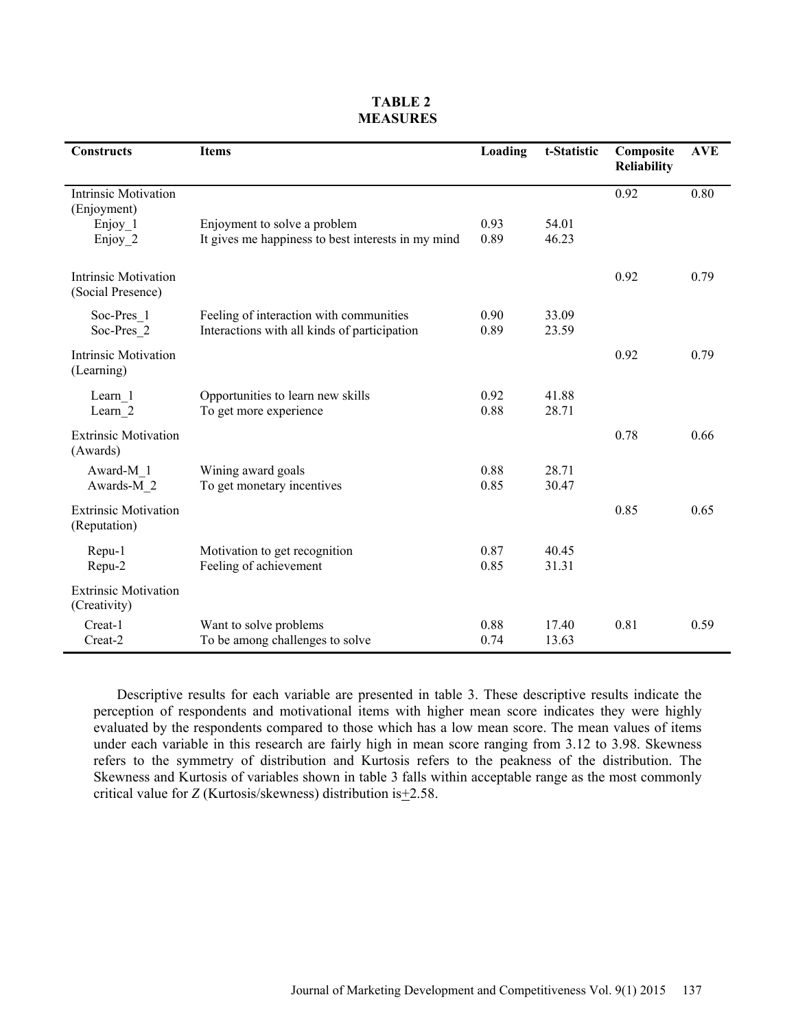| <b>Constructs</b>                                | <b>Items</b>                                       | Loading | t-Statistic | Composite<br><b>Reliability</b> | <b>AVE</b> |
|--------------------------------------------------|----------------------------------------------------|---------|-------------|---------------------------------|------------|
| <b>Intrinsic Motivation</b><br>(Enjoyment)       |                                                    |         |             | 0.92                            | 0.80       |
| Enjoy 1                                          | Enjoyment to solve a problem                       | 0.93    | 54.01       |                                 |            |
| Enjoy 2                                          | It gives me happiness to best interests in my mind | 0.89    | 46.23       |                                 |            |
| <b>Intrinsic Motivation</b><br>(Social Presence) |                                                    |         |             | 0.92                            | 0.79       |
| Soc-Pres 1                                       | Feeling of interaction with communities            | 0.90    | 33.09       |                                 |            |
| Soc-Pres 2                                       | Interactions with all kinds of participation       | 0.89    | 23.59       |                                 |            |
| <b>Intrinsic Motivation</b><br>(Learning)        |                                                    |         |             | 0.92                            | 0.79       |
| Learn 1                                          | Opportunities to learn new skills                  | 0.92    | 41.88       |                                 |            |
| Learn 2                                          | To get more experience                             | 0.88    | 28.71       |                                 |            |
| <b>Extrinsic Motivation</b><br>(Awards)          |                                                    |         |             | 0.78                            | 0.66       |
| Award-M 1                                        | Wining award goals                                 | 0.88    | 28.71       |                                 |            |
| Awards-M 2                                       | To get monetary incentives                         | 0.85    | 30.47       |                                 |            |
| <b>Extrinsic Motivation</b><br>(Reputation)      |                                                    |         |             | 0.85                            | 0.65       |
| Repu-1                                           | Motivation to get recognition                      | 0.87    | 40.45       |                                 |            |
| Repu-2                                           | Feeling of achievement                             | 0.85    | 31.31       |                                 |            |
| <b>Extrinsic Motivation</b><br>(Creativity)      |                                                    |         |             |                                 |            |
| Creat-1                                          | Want to solve problems                             | 0.88    | 17.40       | 0.81                            | 0.59       |
| Creat-2                                          | To be among challenges to solve                    | 0.74    | 13.63       |                                 |            |

## **TABLE 2 MEASURES**

Descriptive results for each variable are presented in table 3. These descriptive results indicate the perception of respondents and motivational items with higher mean score indicates they were highly evaluated by the respondents compared to those which has a low mean score. The mean values of items under each variable in this research are fairly high in mean score ranging from 3.12 to 3.98. Skewness refers to the symmetry of distribution and Kurtosis refers to the peakness of the distribution. The Skewness and Kurtosis of variables shown in table 3 falls within acceptable range as the most commonly critical value for *Z* (Kurtosis/skewness) distribution is +2.58.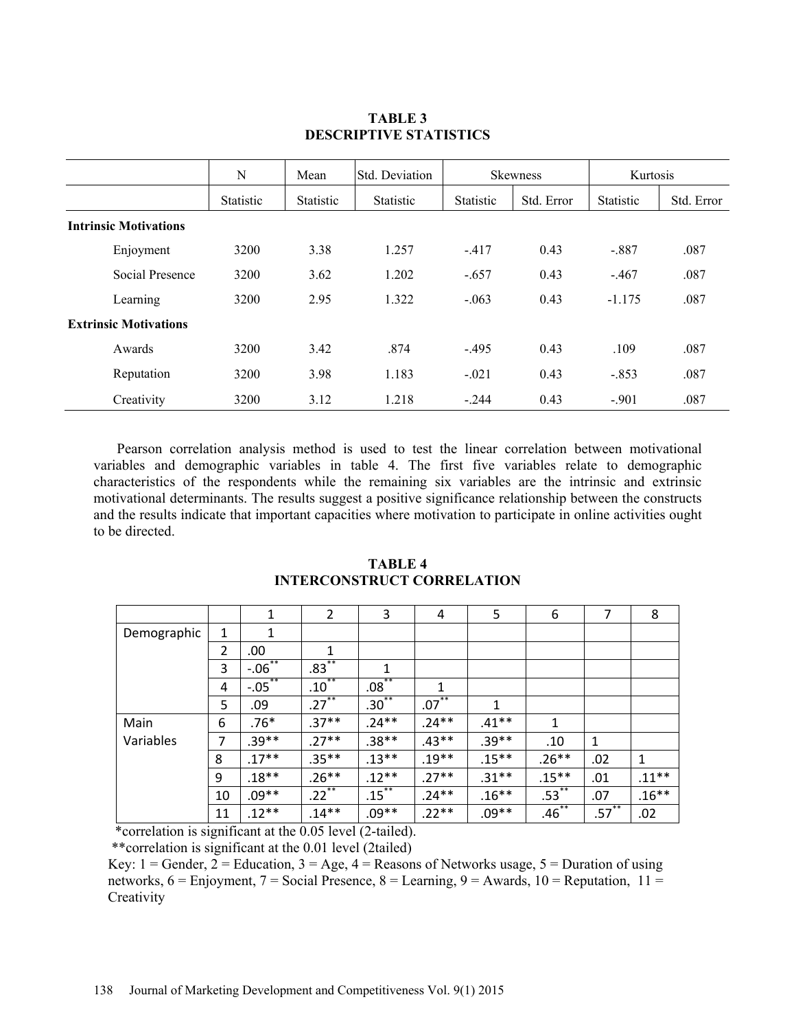|                              | N                | Mean             | Std. Deviation   | <b>Skewness</b>  |            | Kurtosis         |            |
|------------------------------|------------------|------------------|------------------|------------------|------------|------------------|------------|
|                              | <b>Statistic</b> | <b>Statistic</b> | <b>Statistic</b> | <b>Statistic</b> | Std. Error | <b>Statistic</b> | Std. Error |
| <b>Intrinsic Motivations</b> |                  |                  |                  |                  |            |                  |            |
| Enjoyment                    | 3200             | 3.38             | 1.257            | $-417$           | 0.43       | $-.887$          | .087       |
| Social Presence              | 3200             | 3.62             | 1.202            | $-.657$          | 0.43       | $-467$           | .087       |
| Learning                     | 3200             | 2.95             | 1.322            | $-063$           | 0.43       | $-1.175$         | .087       |
| <b>Extrinsic Motivations</b> |                  |                  |                  |                  |            |                  |            |
| Awards                       | 3200             | 3.42             | .874             | $-495$           | 0.43       | .109             | .087       |
| Reputation                   | 3200             | 3.98             | 1.183            | $-021$           | 0.43       | $-.853$          | .087       |
| Creativity                   | 3200             | 3.12             | 1.218            | $-.244$          | 0.43       | $-.901$          | .087       |

## **TABLE 3 DESCRIPTIVE STATISTICS**

Pearson correlation analysis method is used to test the linear correlation between motivational variables and demographic variables in table 4. The first five variables relate to demographic characteristics of the respondents while the remaining six variables are the intrinsic and extrinsic motivational determinants. The results suggest a positive significance relationship between the constructs and the results indicate that important capacities where motivation to participate in online activities ought to be directed.

|             |                | $\mathbf{1}$ | 2                        | 3                      | 4                   | 5        | 6            | $\overline{7}$         | 8        |
|-------------|----------------|--------------|--------------------------|------------------------|---------------------|----------|--------------|------------------------|----------|
| Demographic | 1              | 1            |                          |                        |                     |          |              |                        |          |
|             | $\overline{2}$ | .00          | 1                        |                        |                     |          |              |                        |          |
|             | 3              | $-06$        | $***$<br>$.83^{\circ}$   | 1                      |                     |          |              |                        |          |
|             | 4              | $-0.05$      | $**$<br>.10 <sup>°</sup> | **<br>.08 <sup>°</sup> | 1                   |          |              |                        |          |
|             | 5              | .09          | $.27***$                 | $.30^{**}$             | $.07$ <sup>**</sup> | 1        |              |                        |          |
| Main        | 6              | $.76*$       | $.37**$                  | $.24**$                | $.24**$             | $.41**$  | $\mathbf{1}$ |                        |          |
| Variables   | 7              | $.39**$      | $.27**$                  | $.38**$                | $.43**$             | $.39**$  | .10          | 1                      |          |
|             | 8              | $.17***$     | $.35***$                 | $.13**$                | $.19***$            | $.15***$ | $.26**$      | .02                    | 1        |
|             | 9              | $.18**$      | $.26**$                  | $.12**$                | $.27**$             | $.31**$  | $.15***$     | .01                    | $.11***$ |
|             | 10             | $.09**$      | $.22$ **                 | $.15$ <sup>**</sup>    | $.24**$             | $.16**$  | $.53^{**}$   | .07                    | $.16***$ |
|             | 11             | $.12**$      | $.14***$                 | $.09**$                | $.22**$             | $.09**$  | $.46***$     | **<br>.57 <sup>°</sup> | .02      |

## **TABLE 4 INTERCONSTRUCT CORRELATION**

\*correlation is significant at the 0.05 level (2-tailed).

\*\*correlation is significant at the 0.01 level (2tailed)

Key:  $1 =$  Gender,  $2 =$  Education,  $3 =$  Age,  $4 =$  Reasons of Networks usage,  $5 =$  Duration of using networks,  $6 =$  Enjoyment,  $7 =$  Social Presence,  $8 =$  Learning,  $9 =$  Awards,  $10 =$  Reputation,  $11 =$ **Creativity**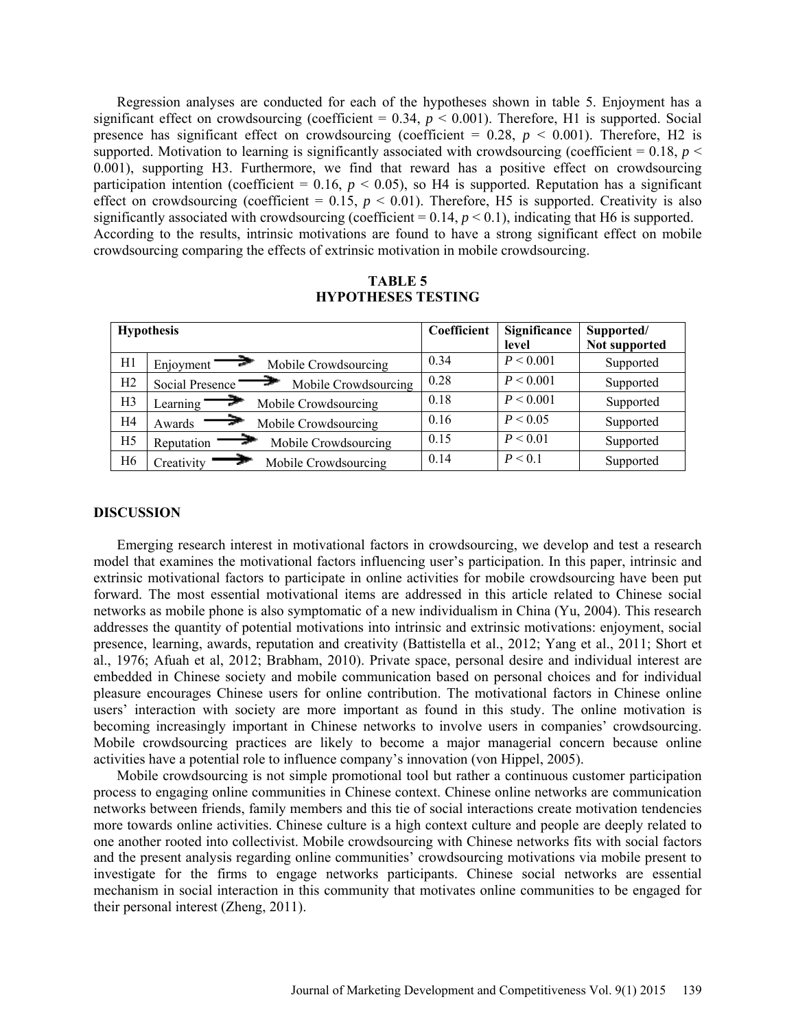Regression analyses are conducted for each of the hypotheses shown in table 5. Enjoyment has a significant effect on crowdsourcing (coefficient =  $0.34$ ,  $p < 0.001$ ). Therefore, H1 is supported. Social presence has significant effect on crowdsourcing (coefficient  $= 0.28$ ,  $p < 0.001$ ). Therefore, H2 is supported. Motivation to learning is significantly associated with crowdsourcing (coefficient =  $0.18$ ,  $p <$ 0.001), supporting H3. Furthermore, we find that reward has a positive effect on crowdsourcing participation intention (coefficient =  $0.16$ ,  $p < 0.05$ ), so H4 is supported. Reputation has a significant effect on crowdsourcing (coefficient =  $0.15$ ,  $p < 0.01$ ). Therefore, H5 is supported. Creativity is also significantly associated with crowdsourcing (coefficient  $= 0.14$ ,  $p < 0.1$ ), indicating that H6 is supported. According to the results, intrinsic motivations are found to have a strong significant effect on mobile crowdsourcing comparing the effects of extrinsic motivation in mobile crowdsourcing.

**TABLE 5 HYPOTHESES TESTING** 

|    | <b>Hypothesis</b>                       | Coefficient | Significance | Supported/    |
|----|-----------------------------------------|-------------|--------------|---------------|
|    |                                         |             | level        | Not supported |
| H1 | Mobile Crowdsourcing<br>Enjoyment'      | 0.34        | P < 0.001    | Supported     |
| H2 | Mobile Crowdsourcing<br>Social Presence | 0.28        | P < 0.001    | Supported     |
| H3 | Learning<br>Mobile Crowdsourcing        | 0.18        | P < 0.001    | Supported     |
| H4 | Mobile Crowdsourcing<br>Awards          | 0.16        | P < 0.05     | Supported     |
| H5 | Mobile Crowdsourcing<br>Reputation      | 0.15        | P < 0.01     | Supported     |
| H6 | Creativity<br>Mobile Crowdsourcing      | 0.14        | P < 0.1      | Supported     |

#### **DISCUSSION**

Emerging research interest in motivational factors in crowdsourcing, we develop and test a research model that examines the motivational factors influencing user's participation. In this paper, intrinsic and extrinsic motivational factors to participate in online activities for mobile crowdsourcing have been put forward. The most essential motivational items are addressed in this article related to Chinese social networks as mobile phone is also symptomatic of a new individualism in China (Yu, 2004). This research addresses the quantity of potential motivations into intrinsic and extrinsic motivations: enjoyment, social presence, learning, awards, reputation and creativity (Battistella et al., 2012; Yang et al., 2011; Short et al., 1976; Afuah et al, 2012; Brabham, 2010). Private space, personal desire and individual interest are embedded in Chinese society and mobile communication based on personal choices and for individual pleasure encourages Chinese users for online contribution. The motivational factors in Chinese online users' interaction with society are more important as found in this study. The online motivation is becoming increasingly important in Chinese networks to involve users in companies' crowdsourcing. Mobile crowdsourcing practices are likely to become a major managerial concern because online activities have a potential role to influence company's innovation (von Hippel, 2005).

Mobile crowdsourcing is not simple promotional tool but rather a continuous customer participation process to engaging online communities in Chinese context. Chinese online networks are communication networks between friends, family members and this tie of social interactions create motivation tendencies more towards online activities. Chinese culture is a high context culture and people are deeply related to one another rooted into collectivist. Mobile crowdsourcing with Chinese networks fits with social factors and the present analysis regarding online communities' crowdsourcing motivations via mobile present to investigate for the firms to engage networks participants. Chinese social networks are essential mechanism in social interaction in this community that motivates online communities to be engaged for their personal interest (Zheng, 2011).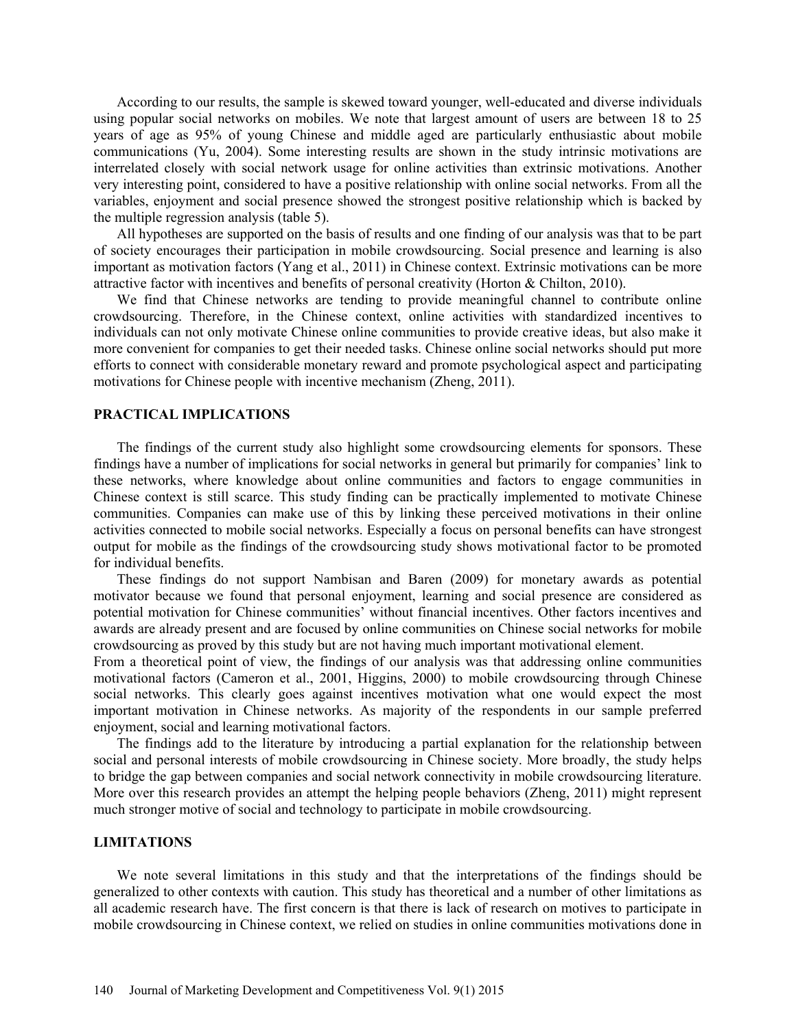According to our results, the sample is skewed toward younger, well-educated and diverse individuals using popular social networks on mobiles. We note that largest amount of users are between 18 to 25 years of age as 95% of young Chinese and middle aged are particularly enthusiastic about mobile communications (Yu, 2004). Some interesting results are shown in the study intrinsic motivations are interrelated closely with social network usage for online activities than extrinsic motivations. Another very interesting point, considered to have a positive relationship with online social networks. From all the variables, enjoyment and social presence showed the strongest positive relationship which is backed by the multiple regression analysis (table 5).

All hypotheses are supported on the basis of results and one finding of our analysis was that to be part of society encourages their participation in mobile crowdsourcing. Social presence and learning is also important as motivation factors (Yang et al., 2011) in Chinese context. Extrinsic motivations can be more attractive factor with incentives and benefits of personal creativity (Horton & Chilton, 2010).

We find that Chinese networks are tending to provide meaningful channel to contribute online crowdsourcing. Therefore, in the Chinese context, online activities with standardized incentives to individuals can not only motivate Chinese online communities to provide creative ideas, but also make it more convenient for companies to get their needed tasks. Chinese online social networks should put more efforts to connect with considerable monetary reward and promote psychological aspect and participating motivations for Chinese people with incentive mechanism (Zheng, 2011).

### **PRACTICAL IMPLICATIONS**

The findings of the current study also highlight some crowdsourcing elements for sponsors. These findings have a number of implications for social networks in general but primarily for companies' link to these networks, where knowledge about online communities and factors to engage communities in Chinese context is still scarce. This study finding can be practically implemented to motivate Chinese communities. Companies can make use of this by linking these perceived motivations in their online activities connected to mobile social networks. Especially a focus on personal benefits can have strongest output for mobile as the findings of the crowdsourcing study shows motivational factor to be promoted for individual benefits.

These findings do not support Nambisan and Baren (2009) for monetary awards as potential motivator because we found that personal enjoyment, learning and social presence are considered as potential motivation for Chinese communities' without financial incentives. Other factors incentives and awards are already present and are focused by online communities on Chinese social networks for mobile crowdsourcing as proved by this study but are not having much important motivational element.

From a theoretical point of view, the findings of our analysis was that addressing online communities motivational factors (Cameron et al., 2001, Higgins, 2000) to mobile crowdsourcing through Chinese social networks. This clearly goes against incentives motivation what one would expect the most important motivation in Chinese networks. As majority of the respondents in our sample preferred enjoyment, social and learning motivational factors.

The findings add to the literature by introducing a partial explanation for the relationship between social and personal interests of mobile crowdsourcing in Chinese society. More broadly, the study helps to bridge the gap between companies and social network connectivity in mobile crowdsourcing literature. More over this research provides an attempt the helping people behaviors (Zheng, 2011) might represent much stronger motive of social and technology to participate in mobile crowdsourcing.

### **LIMITATIONS**

We note several limitations in this study and that the interpretations of the findings should be generalized to other contexts with caution. This study has theoretical and a number of other limitations as all academic research have. The first concern is that there is lack of research on motives to participate in mobile crowdsourcing in Chinese context, we relied on studies in online communities motivations done in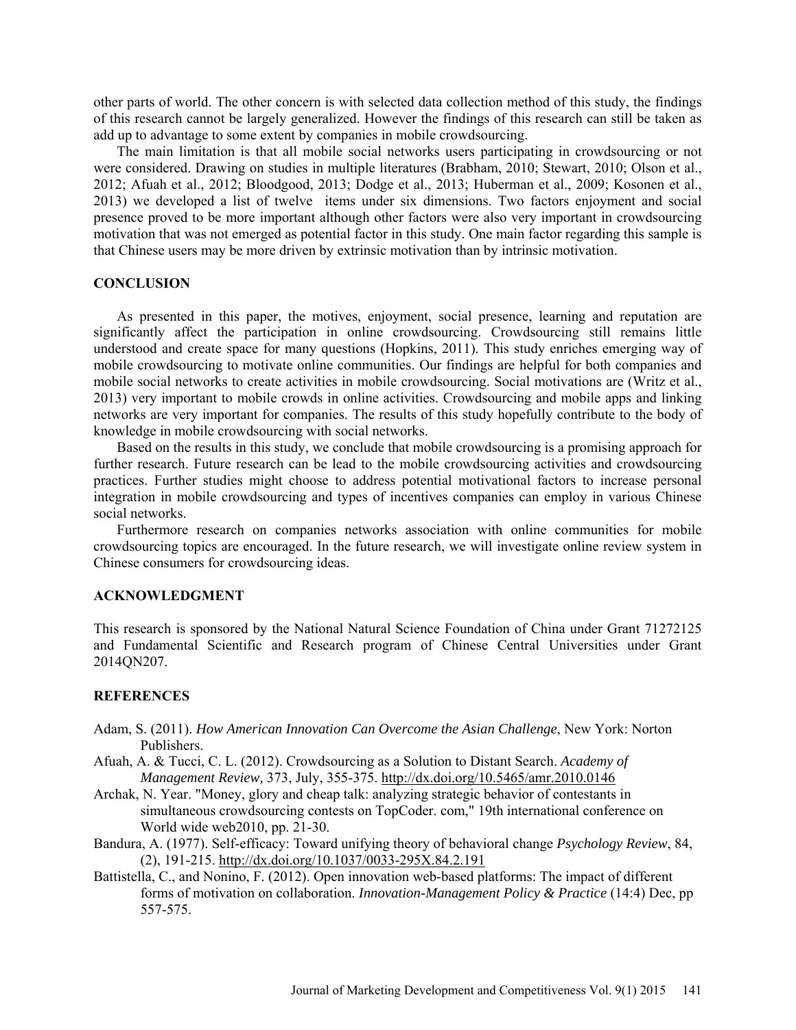other parts of world. The other concern is with selected data collection method of this study, the findings of this research cannot be largely generalized. However the findings of this research can still be taken as add up to advantage to some extent by companies in mobile crowdsourcing.

The main limitation is that all mobile social networks users participating in crowdsourcing or not were considered. Drawing on studies in multiple literatures (Brabham, 2010; Stewart, 2010; Olson et al., 2012; Afuah et al., 2012; Bloodgood, 2013; Dodge et al., 2013; Huberman et al., 2009; Kosonen et al., 2013) we developed a list of twelve items under six dimensions. Two factors enjoyment and social presence proved to be more important although other factors were also very important in crowdsourcing motivation that was not emerged as potential factor in this study. One main factor regarding this sample is that Chinese users may be more driven by extrinsic motivation than by intrinsic motivation.

### **CONCLUSION**

As presented in this paper, the motives, enjoyment, social presence, learning and reputation are significantly affect the participation in online crowdsourcing. Crowdsourcing still remains little understood and create space for many questions (Hopkins, 2011). This study enriches emerging way of mobile crowdsourcing to motivate online communities. Our findings are helpful for both companies and mobile social networks to create activities in mobile crowdsourcing. Social motivations are (Writz et al., 2013) very important to mobile crowds in online activities. Crowdsourcing and mobile apps and linking networks are very important for companies. The results of this study hopefully contribute to the body of knowledge in mobile crowdsourcing with social networks.

Based on the results in this study, we conclude that mobile crowdsourcing is a promising approach for further research. Future research can be lead to the mobile crowdsourcing activities and crowdsourcing practices. Further studies might choose to address potential motivational factors to increase personal integration in mobile crowdsourcing and types of incentives companies can employ in various Chinese social networks.

Furthermore research on companies networks association with online communities for mobile crowdsourcing topics are encouraged. In the future research, we will investigate online review system in Chinese consumers for crowdsourcing ideas.

## **ACKNOWLEDGMENT**

This research is sponsored by the National Natural Science Foundation of China under Grant 71272125 and Fundamental Scientific and Research program of Chinese Central Universities under Grant 2014QN207.

#### **REFERENCES**

- Adam, S. (2011). *How American Innovation Can Overcome the Asian Challenge*, New York: Norton Publishers.
- Afuah, A. & Tucci, C. L. (2012). Crowdsourcing as a Solution to Distant Search. *Academy of Management Review,* 373, July, 355-375. http://dx.doi.org/10.5465/amr.2010.0146
- Archak, N. Year. "Money, glory and cheap talk: analyzing strategic behavior of contestants in simultaneous crowdsourcing contests on TopCoder. com," 19th international conference on World wide web2010, pp. 21-30.
- Bandura, A. (1977). Self-efficacy: Toward unifying theory of behavioral change *Psychology Review*, 84, (2), 191-215. http://dx.doi.org/10.1037/0033-295X.84.2.191
- Battistella, C., and Nonino, F. (2012). Open innovation web-based platforms: The impact of different forms of motivation on collaboration. *Innovation-Management Policy & Practice* (14:4) Dec, pp 557-575.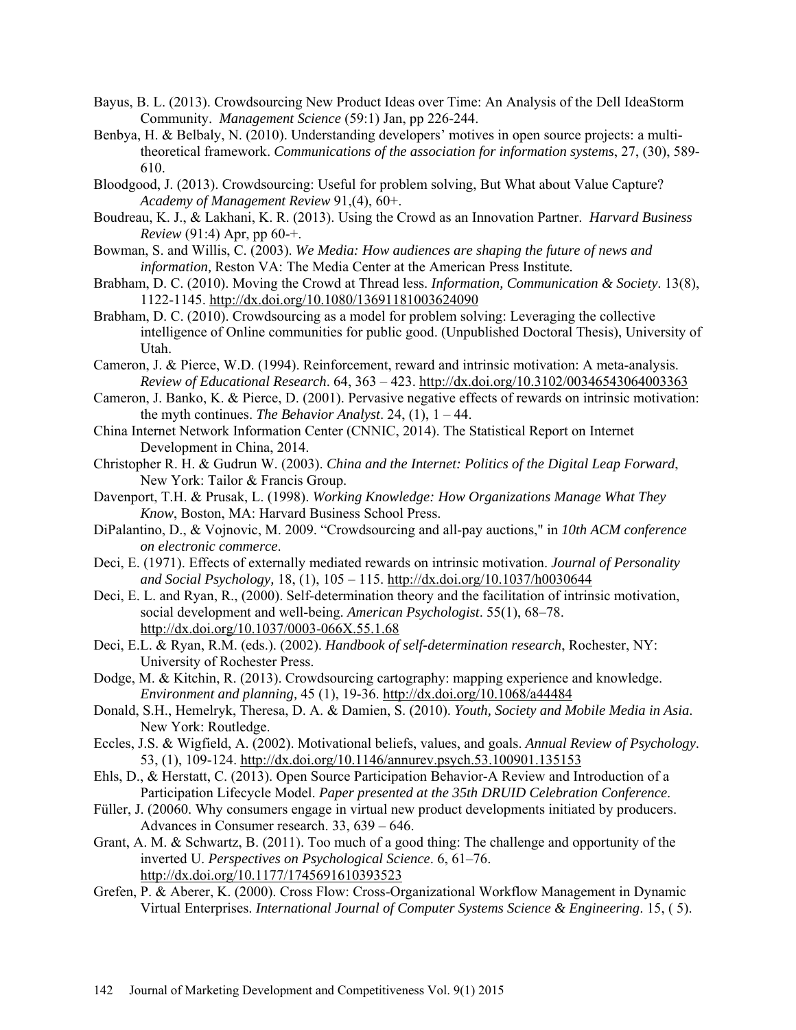- Bayus, B. L. (2013). Crowdsourcing New Product Ideas over Time: An Analysis of the Dell IdeaStorm Community. *Management Science* (59:1) Jan, pp 226-244.
- Benbya, H. & Belbaly, N. (2010). Understanding developers' motives in open source projects: a multitheoretical framework. *Communications of the association for information systems*, 27, (30), 589- 610.
- Bloodgood, J. (2013). Crowdsourcing: Useful for problem solving, But What about Value Capture? *Academy of Management Review* 91,(4), 60+.
- Boudreau, K. J., & Lakhani, K. R. (2013). Using the Crowd as an Innovation Partner. *Harvard Business Review* (91:4) Apr, pp 60-+.
- Bowman, S. and Willis, C. (2003). *We Media: How audiences are shaping the future of news and information,* Reston VA: The Media Center at the American Press Institute*.*
- Brabham, D. C. (2010). Moving the Crowd at Thread less. *Information, Communication & Society*. 13(8), 1122-1145. http://dx.doi.org/10.1080/13691181003624090
- Brabham, D. C. (2010). Crowdsourcing as a model for problem solving: Leveraging the collective intelligence of Online communities for public good. (Unpublished Doctoral Thesis), University of Utah.
- Cameron, J. & Pierce, W.D. (1994). Reinforcement, reward and intrinsic motivation: A meta-analysis. *Review of Educational Research*. 64, 363 – 423. http://dx.doi.org/10.3102/00346543064003363
- Cameron, J. Banko, K. & Pierce, D. (2001). Pervasive negative effects of rewards on intrinsic motivation: the myth continues. *The Behavior Analyst*. 24, (1), 1 – 44.
- China Internet Network Information Center (CNNIC, 2014). The Statistical Report on Internet Development in China, 2014.
- Christopher R. H. & Gudrun W. (2003). *China and the Internet: Politics of the Digital Leap Forward*, New York: Tailor & Francis Group.
- Davenport, T.H. & Prusak, L. (1998). *Working Knowledge: How Organizations Manage What They Know*, Boston, MA: Harvard Business School Press.
- DiPalantino, D., & Vojnovic, M. 2009. "Crowdsourcing and all-pay auctions," in *10th ACM conference on electronic commerce*.
- Deci, E. (1971). Effects of externally mediated rewards on intrinsic motivation. *Journal of Personality and Social Psychology,* 18, (1), 105 – 115. http://dx.doi.org/10.1037/h0030644
- Deci, E. L. and Ryan, R., (2000). Self-determination theory and the facilitation of intrinsic motivation, social development and well-being. *American Psychologist*. 55(1), 68–78. http://dx.doi.org/10.1037/0003-066X.55.1.68
- Deci, E.L. & Ryan, R.M. (eds.). (2002). *Handbook of self-determination research*, Rochester, NY: University of Rochester Press.
- Dodge, M. & Kitchin, R. (2013). Crowdsourcing cartography: mapping experience and knowledge. *Environment and planning,* 45 (1), 19-36. http://dx.doi.org/10.1068/a44484
- Donald, S.H., Hemelryk, Theresa, D. A. & Damien, S. (2010). *Youth, Society and Mobile Media in Asia*. New York: Routledge.
- Eccles, J.S. & Wigfield, A. (2002). Motivational beliefs, values, and goals. *Annual Review of Psychology*. 53, (1), 109-124. http://dx.doi.org/10.1146/annurev.psych.53.100901.135153
- Ehls, D., & Herstatt, C. (2013). Open Source Participation Behavior-A Review and Introduction of a Participation Lifecycle Model. *Paper presented at the 35th DRUID Celebration Conference*.
- Füller, J. (20060. Why consumers engage in virtual new product developments initiated by producers. Advances in Consumer research. 33, 639 – 646.
- Grant, A. M. & Schwartz, B. (2011). Too much of a good thing: The challenge and opportunity of the inverted U. *Perspectives on Psychological Science*. 6, 61–76. http://dx.doi.org/10.1177/1745691610393523
- Grefen, P. & Aberer, K. (2000). Cross Flow: Cross-Organizational Workflow Management in Dynamic Virtual Enterprises. *International Journal of Computer Systems Science & Engineering*. 15, ( 5).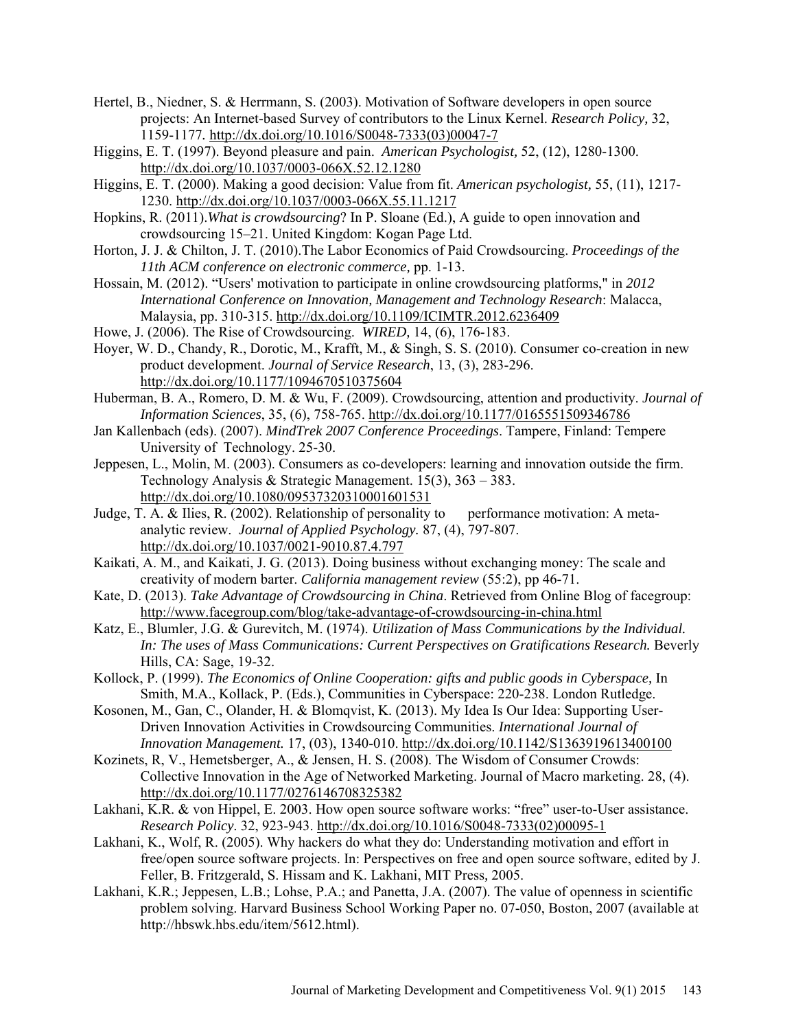- Hertel, B., Niedner, S. & Herrmann, S. (2003). Motivation of Software developers in open source projects: An Internet-based Survey of contributors to the Linux Kernel. *Research Policy,* 32, 1159-1177*.* http://dx.doi.org/10.1016/S0048-7333(03)00047-7
- Higgins, E. T. (1997). Beyond pleasure and pain. *American Psychologist,* 52, (12), 1280-1300. http://dx.doi.org/10.1037/0003-066X.52.12.1280
- Higgins, E. T. (2000). Making a good decision: Value from fit. *American psychologist,* 55, (11), 1217- 1230. http://dx.doi.org/10.1037/0003-066X.55.11.1217
- Hopkins, R. (2011).*What is crowdsourcing*? In P. Sloane (Ed.), A guide to open innovation and crowdsourcing 15–21. United Kingdom: Kogan Page Ltd.
- Horton, J. J. & Chilton, J. T. (2010).The Labor Economics of Paid Crowdsourcing. *Proceedings of the 11th ACM conference on electronic commerce,* pp. 1-13.
- Hossain, M. (2012). "Users' motivation to participate in online crowdsourcing platforms," in *2012 International Conference on Innovation, Management and Technology Research*: Malacca, Malaysia, pp. 310-315. http://dx.doi.org/10.1109/ICIMTR.2012.6236409
- Howe, J. (2006). The Rise of Crowdsourcing. *WIRED,* 14, (6), 176-183.
- Hoyer, W. D., Chandy, R., Dorotic, M., Krafft, M., & Singh, S. S. (2010). Consumer co-creation in new product development. *Journal of Service Research*, 13, (3), 283-296. http://dx.doi.org/10.1177/1094670510375604
- Huberman, B. A., Romero, D. M. & Wu, F. (2009). Crowdsourcing, attention and productivity. *Journal of Information Sciences*, 35, (6), 758-765. http://dx.doi.org/10.1177/0165551509346786
- Jan Kallenbach (eds). (2007). *MindTrek 2007 Conference Proceedings*. Tampere, Finland: Tempere University of Technology. 25-30.
- Jeppesen, L., Molin, M. (2003). Consumers as co-developers: learning and innovation outside the firm. Technology Analysis & Strategic Management. 15(3), 363 – 383. http://dx.doi.org/10.1080/09537320310001601531
- Judge, T. A. & Ilies, R. (2002). Relationship of personality to performance motivation: A metaanalytic review. *Journal of Applied Psychology.* 87, (4), 797-807. http://dx.doi.org/10.1037/0021-9010.87.4.797
- Kaikati, A. M., and Kaikati, J. G. (2013). Doing business without exchanging money: The scale and creativity of modern barter. *California management review* (55:2), pp 46-71.
- Kate, D. (2013). *Take Advantage of Crowdsourcing in China*. Retrieved from Online Blog of facegroup: http://www.facegroup.com/blog/take-advantage-of-crowdsourcing-in-china.html
- Katz, E., Blumler, J.G. & Gurevitch, M. (1974). *Utilization of Mass Communications by the Individual. In: The uses of Mass Communications: Current Perspectives on Gratifications Research.* Beverly Hills, CA: Sage, 19-32.
- Kollock, P. (1999). *The Economics of Online Cooperation: gifts and public goods in Cyberspace,* In Smith, M.A., Kollack, P. (Eds.), Communities in Cyberspace: 220-238. London Rutledge.
- Kosonen, M., Gan, C., Olander, H. & Blomqvist, K. (2013). My Idea Is Our Idea: Supporting User-Driven Innovation Activities in Crowdsourcing Communities. *International Journal of Innovation Management.* 17, (03), 1340-010. http://dx.doi.org/10.1142/S1363919613400100
- Kozinets, R, V., Hemetsberger, A., & Jensen, H. S. (2008). The Wisdom of Consumer Crowds: Collective Innovation in the Age of Networked Marketing. Journal of Macro marketing. 28, (4). http://dx.doi.org/10.1177/0276146708325382
- Lakhani, K.R. & von Hippel, E. 2003. How open source software works: "free" user-to-User assistance. *Research Policy*. 32, 923-943. http://dx.doi.org/10.1016/S0048-7333(02)00095-1
- Lakhani, K., Wolf, R. (2005). Why hackers do what they do: Understanding motivation and effort in free/open source software projects. In: Perspectives on free and open source software, edited by J. Feller, B. Fritzgerald, S. Hissam and K. Lakhani, MIT Press*,* 2005.
- Lakhani, K.R.; Jeppesen, L.B.; Lohse, P.A.; and Panetta, J.A. (2007). The value of openness in scientific problem solving. Harvard Business School Working Paper no. 07-050, Boston, 2007 (available at http://hbswk.hbs.edu/item/5612.html).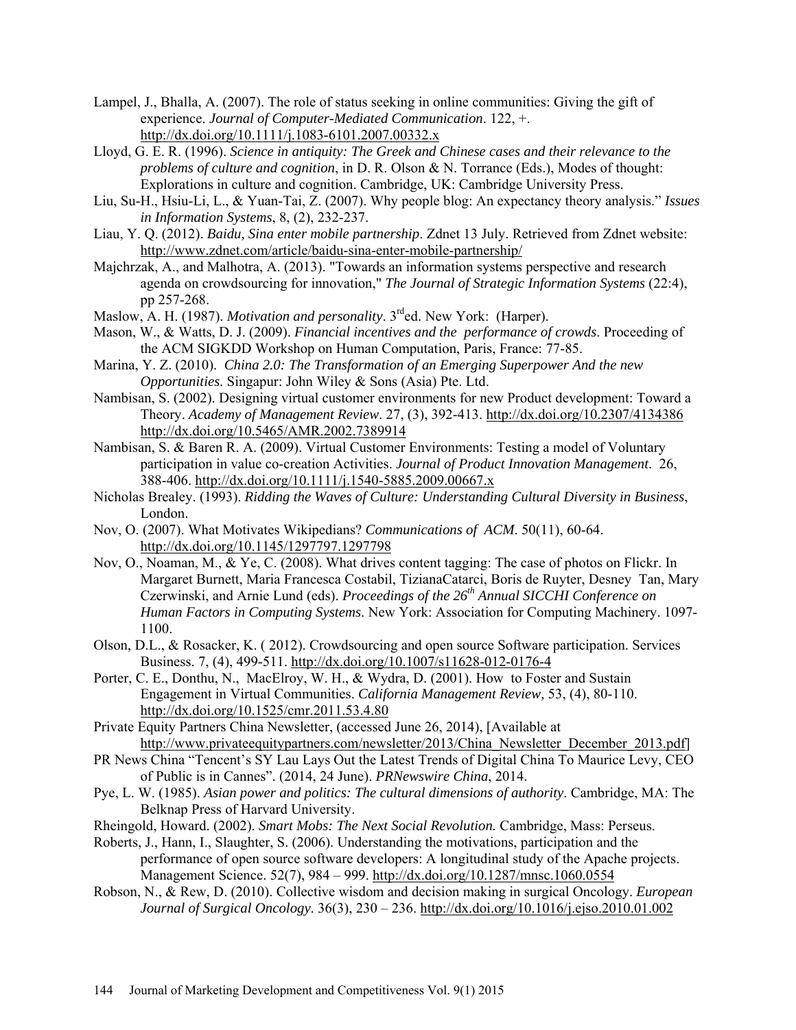- Lampel, J., Bhalla, A. (2007). The role of status seeking in online communities: Giving the gift of experience. *Journal of Computer-Mediated Communication*. 122, +. http://dx.doi.org/10.1111/j.1083-6101.2007.00332.x
- Lloyd, G. E. R. (1996). *Science in antiquity: The Greek and Chinese cases and their relevance to the problems of culture and cognition*, in D. R. Olson & N. Torrance (Eds.), Modes of thought: Explorations in culture and cognition. Cambridge, UK: Cambridge University Press.
- Liu, Su-H., Hsiu-Li, L., & Yuan-Tai, Z. (2007). Why people blog: An expectancy theory analysis." *Issues in Information Systems*, 8, (2), 232-237.
- Liau, Y. Q. (2012). *Baidu, Sina enter mobile partnership*. Zdnet 13 July. Retrieved from Zdnet website: http://www.zdnet.com/article/baidu-sina-enter-mobile-partnership/
- Majchrzak, A., and Malhotra, A. (2013). "Towards an information systems perspective and research agenda on crowdsourcing for innovation," *The Journal of Strategic Information Systems* (22:4), pp 257-268.
- Maslow, A. H. (1987). *Motivation and personality*. 3<sup>rd</sup>ed. New York: (Harper).
- Mason, W., & Watts, D. J. (2009). *Financial incentives and the performance of crowds*. Proceeding of the ACM SIGKDD Workshop on Human Computation, Paris, France: 77-85.
- Marina, Y. Z. (2010). *China 2.0: The Transformation of an Emerging Superpower And the new Opportunities*. Singapur: John Wiley & Sons (Asia) Pte. Ltd.
- Nambisan, S. (2002). Designing virtual customer environments for new Product development: Toward a Theory. *Academy of Management Review*. 27, (3), 392-413. http://dx.doi.org/10.2307/4134386 http://dx.doi.org/10.5465/AMR.2002.7389914
- Nambisan, S. & Baren R. A. (2009). Virtual Customer Environments: Testing a model of Voluntary participation in value co-creation Activities. *Journal of Product Innovation Management*. 26, 388-406. http://dx.doi.org/10.1111/j.1540-5885.2009.00667.x
- Nicholas Brealey. (1993). *Ridding the Waves of Culture: Understanding Cultural Diversity in Business*, London.
- Nov, O. (2007). What Motivates Wikipedians? *Communications of ACM*. 50(11), 60-64. http://dx.doi.org/10.1145/1297797.1297798
- Nov, O., Noaman, M., & Ye, C. (2008). What drives content tagging: The case of photos on Flickr. In Margaret Burnett, Maria Francesca Costabil, TizianaCatarci, Boris de Ruyter, Desney Tan, Mary Czerwinski, and Arnie Lund (eds). *Proceedings of the 26<sup>th</sup> Annual SICCHI Conference on Human Factors in Computing Systems*. New York: Association for Computing Machinery. 1097- 1100.
- Olson, D.L., & Rosacker, K. ( 2012). Crowdsourcing and open source Software participation. Services Business. 7, (4), 499-511. http://dx.doi.org/10.1007/s11628-012-0176-4
- Porter, C. E., Donthu, N., MacElroy, W. H., & Wydra, D. (2001). How to Foster and Sustain Engagement in Virtual Communities. *California Management Review,* 53, (4), 80-110. http://dx.doi.org/10.1525/cmr.2011.53.4.80
- Private Equity Partners China Newsletter, (accessed June 26, 2014), [Available at http://www.privateequitypartners.com/newsletter/2013/China\_Newsletter\_December\_2013.pdf]
- PR News China "Tencent's SY Lau Lays Out the Latest Trends of Digital China To Maurice Levy, CEO of Public is in Cannes". (2014, 24 June). *PRNewswire China*, 2014.
- Pye, L. W. (1985). *Asian power and politics: The cultural dimensions of authority*. Cambridge, MA: The Belknap Press of Harvard University.
- Rheingold, Howard. (2002). *Smart Mobs: The Next Social Revolution.* Cambridge, Mass: Perseus.
- Roberts, J., Hann, I., Slaughter, S. (2006). Understanding the motivations, participation and the performance of open source software developers: A longitudinal study of the Apache projects. Management Science. 52(7), 984 – 999. http://dx.doi.org/10.1287/mnsc.1060.0554
- Robson, N., & Rew, D. (2010). Collective wisdom and decision making in surgical Oncology. *European Journal of Surgical Oncology*. 36(3), 230 – 236. http://dx.doi.org/10.1016/j.ejso.2010.01.002